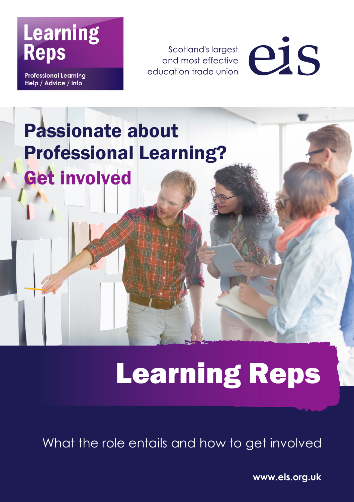## **Learning Reps**

**Professional Learning** Help / Advice / Info

Scotland's largest and most effective education trade union



## Passionate about Professional Learning? Get involved

# Learning Reps

What the role entails and how to get involved

**www.eis.org.uk**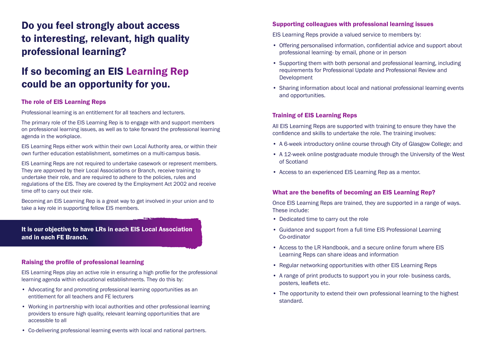### Do you feel strongly about access to interesting, relevant, high quality professional learning?

### If so becoming an EIS Learning Rep could be an opportunity for you.

#### The role of EIS Learning Reps

Professional learning is an entitlement for all teachers and lecturers.

The primary role of the EIS Learning Rep is to engage with and support members on professional learning issues, as well as to take forward the professional learning agenda in the workplace.

EIS Learning Reps either work within their own Local Authority area, or within their own further education establishment, sometimes on a multi-campus basis.

EIS Learning Reps are not required to undertake casework or represent members. They are approved by their Local Associations or Branch, receive training to undertake their role, and are required to adhere to the policies, rules and regulations of the EIS. They are covered by the Employment Act 2002 and receive time off to carry out their role.

Becoming an EIS Learning Rep is a great way to get involved in your union and to take a key role in supporting fellow EIS members.

It is our objective to have LRs in each EIS Local Association and in each FE Branch.

#### Raising the profile of professional learning

EIS Learning Reps play an active role in ensuring a high profile for the professional learning agenda within educational establishments. They do this by:

- Advocating for and promoting professional learning opportunities as an entitlement for all teachers and FE lecturers
- Working in partnership with local authorities and other professional learning providers to ensure high quality, relevant learning opportunities that are accessible to all

#### Supporting colleagues with professional learning issues

EIS Learning Reps provide a valued service to members by:

- Offering personalised information, confidential advice and support about professional learning- by email, phone or in person
- Supporting them with both personal and professional learning, including requirements for Professional Update and Professional Review and Development
- Sharing information about local and national professional learning events and opportunities.

#### Training of EIS Learning Reps

All EIS Learning Reps are supported with training to ensure they have the confidence and skills to undertake the role. The training involves:

- A 6-week introductory online course through City of Glasgow College; and
- A 12-week online postgraduate module through the University of the West of Scotland
- Access to an experienced EIS Learning Rep as a mentor.

#### What are the benefits of becoming an EIS Learning Rep?

Once EIS Learning Reps are trained, they are supported in a range of ways. These include:

- Dedicated time to carry out the role
- Guidance and support from a full time EIS Professional Learning Co-ordinator
- Access to the LR Handbook, and a secure online forum where EIS Learning Reps can share ideas and information
- Regular networking opportunities with other EIS Learning Reps
- A range of print products to support you in your role- business cards, posters, leaflets etc.
- The opportunity to extend their own professional learning to the highest standard.

• Co-delivering professional learning events with local and national partners.